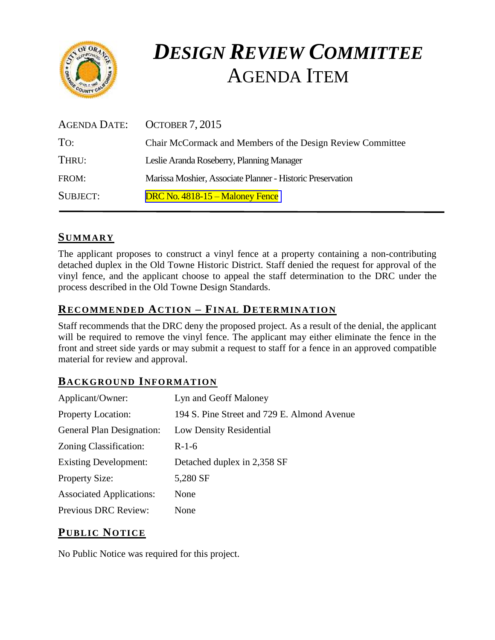

# *DESIGN REVIEW COMMITTEE* AGENDA ITEM

| AGENDA DATE:    | <b>OCTOBER 7, 2015</b>                                     |
|-----------------|------------------------------------------------------------|
| To:             | Chair McCormack and Members of the Design Review Committee |
| THRU:           | Leslie Aranda Roseberry, Planning Manager                  |
| FROM:           | Marissa Moshier, Associate Planner - Historic Preservation |
| <b>SUBJECT:</b> | DRC No. 4818-15 – Maloney Fence                            |

## **SUMMARY**

The applicant proposes to construct a vinyl fence at a property containing a non-contributing detached duplex in the Old Towne Historic District. Staff denied the request for approval of the vinyl fence, and the applicant choose to appeal the staff determination to the DRC under the process described in the Old Towne Design Standards.

## **RECOMMENDED ACTION – FINAL DETERMINATION**

Staff recommends that the DRC deny the proposed project. As a result of the denial, the applicant will be required to remove the vinyl fence. The applicant may either eliminate the fence in the front and street side yards or may submit a request to staff for a fence in an approved compatible material for review and approval.

## **BACKGROUND INFORMATION**

| Applicant/Owner:                | Lyn and Geoff Maloney                       |
|---------------------------------|---------------------------------------------|
| <b>Property Location:</b>       | 194 S. Pine Street and 729 E. Almond Avenue |
| General Plan Designation:       | Low Density Residential                     |
| Zoning Classification:          | $R-1-6$                                     |
| <b>Existing Development:</b>    | Detached duplex in 2,358 SF                 |
| <b>Property Size:</b>           | 5,280 SF                                    |
| <b>Associated Applications:</b> | None                                        |
| Previous DRC Review:            | None                                        |

## **PUB LIC NOTICE**

No Public Notice was required for this project.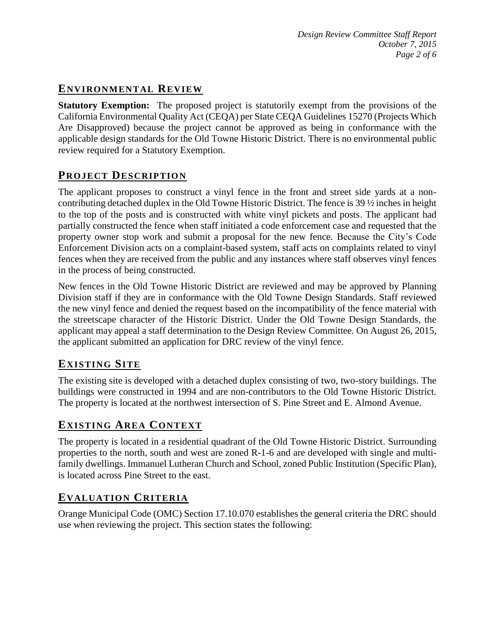## **ENVIRONMENTAL REVIEW**

**Statutory Exemption:** The proposed project is statutorily exempt from the provisions of the California Environmental Quality Act (CEQA) per State CEQA Guidelines 15270 (Projects Which Are Disapproved) because the project cannot be approved as being in conformance with the applicable design standards for the Old Towne Historic District. There is no environmental public review required for a Statutory Exemption.

# **PROJECT DESCRIP TION**

The applicant proposes to construct a vinyl fence in the front and street side yards at a noncontributing detached duplex in the Old Towne Historic District. The fence is 39 ½ inches in height to the top of the posts and is constructed with white vinyl pickets and posts. The applicant had partially constructed the fence when staff initiated a code enforcement case and requested that the property owner stop work and submit a proposal for the new fence. Because the City's Code Enforcement Division acts on a complaint-based system, staff acts on complaints related to vinyl fences when they are received from the public and any instances where staff observes vinyl fences in the process of being constructed.

New fences in the Old Towne Historic District are reviewed and may be approved by Planning Division staff if they are in conformance with the Old Towne Design Standards. Staff reviewed the new vinyl fence and denied the request based on the incompatibility of the fence material with the streetscape character of the Historic District. Under the Old Towne Design Standards, the applicant may appeal a staff determination to the Design Review Committee. On August 26, 2015, the applicant submitted an application for DRC review of the vinyl fence.

## **EXISTING SITE**

The existing site is developed with a detached duplex consisting of two, two-story buildings. The buildings were constructed in 1994 and are non-contributors to the Old Towne Historic District. The property is located at the northwest intersection of S. Pine Street and E. Almond Avenue.

## **EXISTING AREA CONTEXT**

The property is located in a residential quadrant of the Old Towne Historic District. Surrounding properties to the north, south and west are zoned R-1-6 and are developed with single and multifamily dwellings. Immanuel Lutheran Church and School, zoned Public Institution (Specific Plan), is located across Pine Street to the east.

## **EVALUATION CRITERIA**

Orange Municipal Code (OMC) Section 17.10.070 establishes the general criteria the DRC should use when reviewing the project. This section states the following: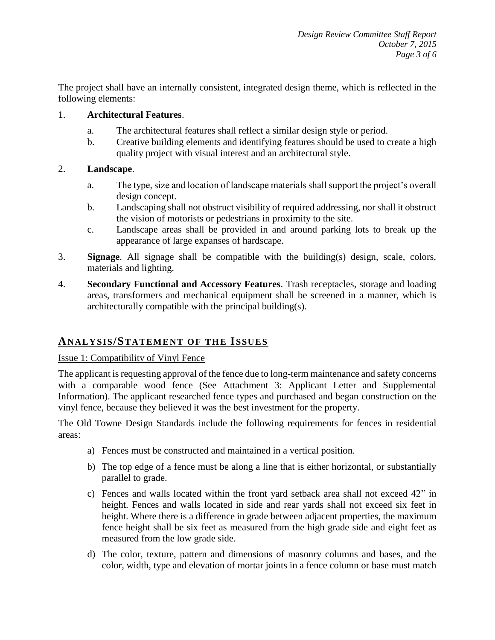The project shall have an internally consistent, integrated design theme, which is reflected in the following elements:

#### 1. **Architectural Features**.

- a. The architectural features shall reflect a similar design style or period.
- b. Creative building elements and identifying features should be used to create a high quality project with visual interest and an architectural style.

#### 2. **Landscape**.

- a. The type, size and location of landscape materials shall support the project's overall design concept.
- b. Landscaping shall not obstruct visibility of required addressing, nor shall it obstruct the vision of motorists or pedestrians in proximity to the site.
- c. Landscape areas shall be provided in and around parking lots to break up the appearance of large expanses of hardscape.
- 3. **Signage**. All signage shall be compatible with the building(s) design, scale, colors, materials and lighting.
- 4. **Secondary Functional and Accessory Features**. Trash receptacles, storage and loading areas, transformers and mechanical equipment shall be screened in a manner, which is architecturally compatible with the principal building(s).

## **ANALY SIS/STATEMENT OF THE ISSUES**

#### Issue 1: Compatibility of Vinyl Fence

The applicant is requesting approval of the fence due to long-term maintenance and safety concerns with a comparable wood fence (See Attachment 3: Applicant Letter and Supplemental Information). The applicant researched fence types and purchased and began construction on the vinyl fence, because they believed it was the best investment for the property.

The Old Towne Design Standards include the following requirements for fences in residential areas:

- a) Fences must be constructed and maintained in a vertical position.
- b) The top edge of a fence must be along a line that is either horizontal, or substantially parallel to grade.
- c) Fences and walls located within the front yard setback area shall not exceed 42" in height. Fences and walls located in side and rear yards shall not exceed six feet in height. Where there is a difference in grade between adjacent properties, the maximum fence height shall be six feet as measured from the high grade side and eight feet as measured from the low grade side.
- d) The color, texture, pattern and dimensions of masonry columns and bases, and the color, width, type and elevation of mortar joints in a fence column or base must match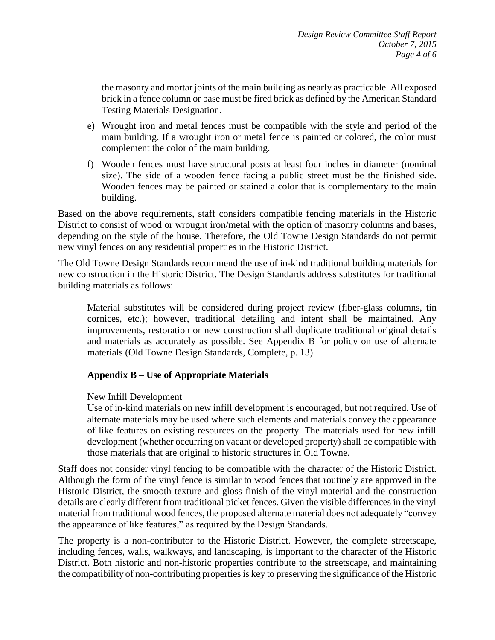the masonry and mortar joints of the main building as nearly as practicable. All exposed brick in a fence column or base must be fired brick as defined by the American Standard Testing Materials Designation.

- e) Wrought iron and metal fences must be compatible with the style and period of the main building. If a wrought iron or metal fence is painted or colored, the color must complement the color of the main building.
- f) Wooden fences must have structural posts at least four inches in diameter (nominal size). The side of a wooden fence facing a public street must be the finished side. Wooden fences may be painted or stained a color that is complementary to the main building.

Based on the above requirements, staff considers compatible fencing materials in the Historic District to consist of wood or wrought iron/metal with the option of masonry columns and bases, depending on the style of the house. Therefore, the Old Towne Design Standards do not permit new vinyl fences on any residential properties in the Historic District.

The Old Towne Design Standards recommend the use of in-kind traditional building materials for new construction in the Historic District. The Design Standards address substitutes for traditional building materials as follows:

Material substitutes will be considered during project review (fiber-glass columns, tin cornices, etc.); however, traditional detailing and intent shall be maintained. Any improvements, restoration or new construction shall duplicate traditional original details and materials as accurately as possible. See Appendix B for policy on use of alternate materials (Old Towne Design Standards, Complete, p. 13).

## **Appendix B – Use of Appropriate Materials**

#### New Infill Development

Use of in-kind materials on new infill development is encouraged, but not required. Use of alternate materials may be used where such elements and materials convey the appearance of like features on existing resources on the property. The materials used for new infill development (whether occurring on vacant or developed property) shall be compatible with those materials that are original to historic structures in Old Towne.

Staff does not consider vinyl fencing to be compatible with the character of the Historic District. Although the form of the vinyl fence is similar to wood fences that routinely are approved in the Historic District, the smooth texture and gloss finish of the vinyl material and the construction details are clearly different from traditional picket fences. Given the visible differences in the vinyl material from traditional wood fences, the proposed alternate material does not adequately "convey the appearance of like features," as required by the Design Standards.

The property is a non-contributor to the Historic District. However, the complete streetscape, including fences, walls, walkways, and landscaping, is important to the character of the Historic District. Both historic and non-historic properties contribute to the streetscape, and maintaining the compatibility of non-contributing properties is key to preserving the significance of the Historic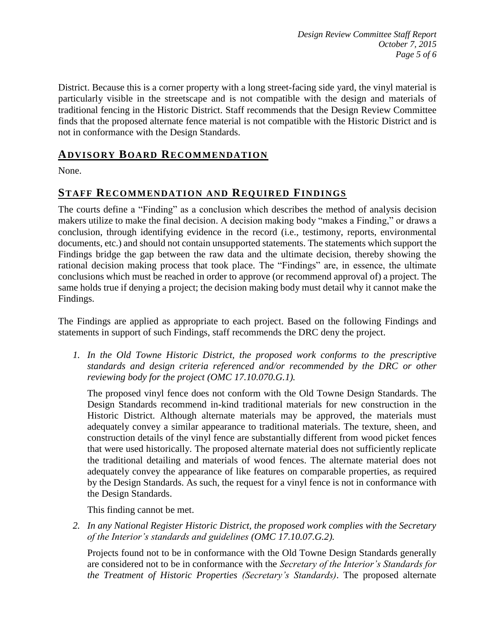District. Because this is a corner property with a long street-facing side yard, the vinyl material is particularly visible in the streetscape and is not compatible with the design and materials of traditional fencing in the Historic District. Staff recommends that the Design Review Committee finds that the proposed alternate fence material is not compatible with the Historic District and is not in conformance with the Design Standards.

## **ADVISORY BOARD RECOMMENDATION**

None.

## **STAFF RECOMMENDATION AND REQUIRED FINDINGS**

The courts define a "Finding" as a conclusion which describes the method of analysis decision makers utilize to make the final decision. A decision making body "makes a Finding," or draws a conclusion, through identifying evidence in the record (i.e., testimony, reports, environmental documents, etc.) and should not contain unsupported statements. The statements which support the Findings bridge the gap between the raw data and the ultimate decision, thereby showing the rational decision making process that took place. The "Findings" are, in essence, the ultimate conclusions which must be reached in order to approve (or recommend approval of) a project. The same holds true if denying a project; the decision making body must detail why it cannot make the Findings.

The Findings are applied as appropriate to each project. Based on the following Findings and statements in support of such Findings, staff recommends the DRC deny the project.

*1. In the Old Towne Historic District, the proposed work conforms to the prescriptive standards and design criteria referenced and/or recommended by the DRC or other reviewing body for the project (OMC 17.10.070.G.1).*

The proposed vinyl fence does not conform with the Old Towne Design Standards. The Design Standards recommend in-kind traditional materials for new construction in the Historic District. Although alternate materials may be approved, the materials must adequately convey a similar appearance to traditional materials. The texture, sheen, and construction details of the vinyl fence are substantially different from wood picket fences that were used historically. The proposed alternate material does not sufficiently replicate the traditional detailing and materials of wood fences. The alternate material does not adequately convey the appearance of like features on comparable properties, as required by the Design Standards. As such, the request for a vinyl fence is not in conformance with the Design Standards.

This finding cannot be met.

*2. In any National Register Historic District, the proposed work complies with the Secretary of the Interior's standards and guidelines (OMC 17.10.07.G.2).*

Projects found not to be in conformance with the Old Towne Design Standards generally are considered not to be in conformance with the *Secretary of the Interior's Standards for the Treatment of Historic Properties (Secretary's Standards)*. The proposed alternate